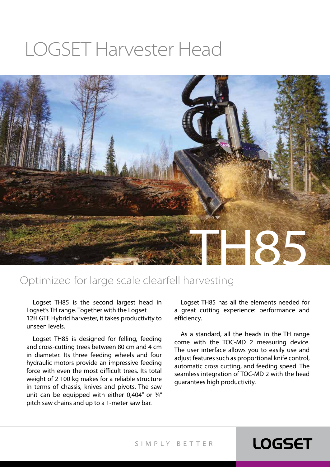# LOGSET Harvester Head



#### Optimized for large scale clearfell harvesting

Logset TH85 is the second largest head in Logset's TH range. Together with the Logset 12H GTE Hybrid harvester, it takes productivity to unseen levels.

Logset TH85 is designed for felling, feeding and cross-cutting trees between 80 cm and 4 cm in diameter. Its three feeding wheels and four hydraulic motors provide an impressive feeding force with even the most difficult trees. Its total weight of 2 100 kg makes for a reliable structure in terms of chassis, knives and pivots. The saw unit can be equipped with either 0,404" or ¾" pitch saw chains and up to a 1-meter saw bar.

Logset TH85 has all the elements needed for a great cutting experience: performance and efficiency.

As a standard, all the heads in the TH range come with the TOC-MD 2 measuring device. The user interface allows you to easily use and adjust features such as proportional knife control, automatic cross cutting, and feeding speed. The seamless integration of TOC-MD 2 with the head guarantees high productivity.

**LOGSET** 

SIMPLY BETTER